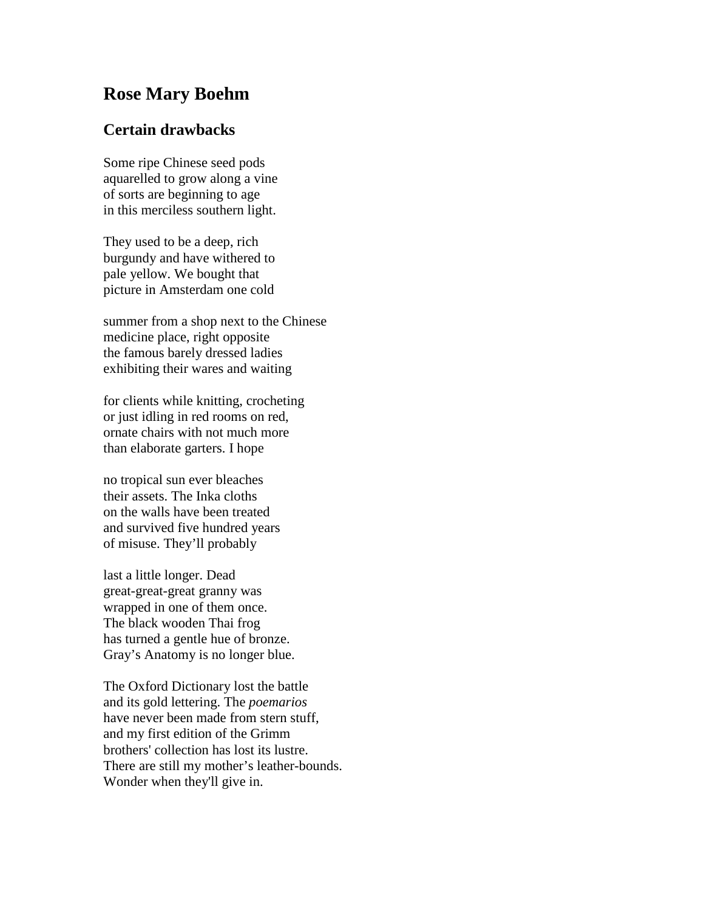## **Rose Mary Boehm**

## **Certain drawbacks**

Some ripe Chinese seed pods aquarelled to grow along a vine of sorts are beginning to age in this merciless southern light.

They used to be a deep, rich burgundy and have withered to pale yellow. We bought that picture in Amsterdam one cold

summer from a shop next to the Chinese medicine place, right opposite the famous barely dressed ladies exhibiting their wares and waiting

for clients while knitting, crocheting or just idling in red rooms on red, ornate chairs with not much more than elaborate garters. I hope

no tropical sun ever bleaches their assets. The Inka cloths on the walls have been treated and survived five hundred years of misuse. They'll probably

last a little longer. Dead great-great-great granny was wrapped in one of them once. The black wooden Thai frog has turned a gentle hue of bronze. Gray's Anatomy is no longer blue.

The Oxford Dictionary lost the battle and its gold lettering. The *poemarios* have never been made from stern stuff, and my first edition of the Grimm brothers' collection has lost its lustre. There are still my mother's leather-bounds. Wonder when they'll give in.